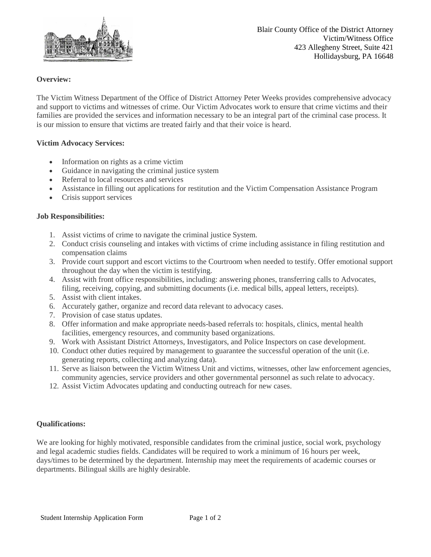

## **Overview:**

The Victim Witness Department of the Office of District Attorney Peter Weeks provides comprehensive advocacy and support to victims and witnesses of crime. Our Victim Advocates work to ensure that crime victims and their families are provided the services and information necessary to be an integral part of the criminal case process. It is our mission to ensure that victims are treated fairly and that their voice is heard.

#### **Victim Advocacy Services:**

- Information on rights as a crime victim
- Guidance in navigating the criminal justice system
- Referral to local resources and services
- Assistance in filling out applications for restitution and the Victim Compensation Assistance Program
- Crisis support services

#### **Job Responsibilities:**

- 1. Assist victims of crime to navigate the criminal justice System.
- 2. Conduct crisis counseling and intakes with victims of crime including assistance in filing restitution and compensation claims
- 3. Provide court support and escort victims to the Courtroom when needed to testify. Offer emotional support throughout the day when the victim is testifying.
- 4. Assist with front office responsibilities, including: answering phones, transferring calls to Advocates, filing, receiving, copying, and submitting documents (i.e. medical bills, appeal letters, receipts).
- 5. Assist with client intakes.
- 6. Accurately gather, organize and record data relevant to advocacy cases.
- 7. Provision of case status updates.
- 8. Offer information and make appropriate needs-based referrals to: hospitals, clinics, mental health facilities, emergency resources, and community based organizations.
- 9. Work with Assistant District Attorneys, Investigators, and Police Inspectors on case development.
- 10. Conduct other duties required by management to guarantee the successful operation of the unit (i.e. generating reports, collecting and analyzing data).
- 11. Serve as liaison between the Victim Witness Unit and victims, witnesses, other law enforcement agencies, community agencies, service providers and other governmental personnel as such relate to advocacy.
- 12. Assist Victim Advocates updating and conducting outreach for new cases.

### **Qualifications:**

We are looking for highly motivated, responsible candidates from the criminal justice, social work, psychology and legal academic studies fields. Candidates will be required to work a minimum of 16 hours per week, days/times to be determined by the department. Internship may meet the requirements of academic courses or departments. Bilingual skills are highly desirable.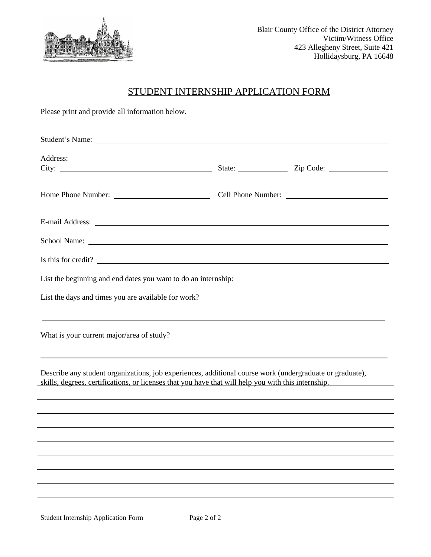

# STUDENT INTERNSHIP APPLICATION FORM

Please print and provide all information below.

| Student's Name:                                                                                                                                                                                                                      |                         |  |  |
|--------------------------------------------------------------------------------------------------------------------------------------------------------------------------------------------------------------------------------------|-------------------------|--|--|
|                                                                                                                                                                                                                                      | State: <u>Zip Code:</u> |  |  |
|                                                                                                                                                                                                                                      |                         |  |  |
| E-mail Address: <u>Quarteria and the contract of the contract of the contract of the contract of the contract of the contract of the contract of the contract of the contract of the contract of the contract of the contract of</u> |                         |  |  |
|                                                                                                                                                                                                                                      |                         |  |  |
| Is this for credit?                                                                                                                                                                                                                  |                         |  |  |
|                                                                                                                                                                                                                                      |                         |  |  |
| List the days and times you are available for work?                                                                                                                                                                                  |                         |  |  |
| What is your current major/area of study?                                                                                                                                                                                            |                         |  |  |
| Describe any student organizations, job experiences, additional course work (undergraduate or graduate),<br>skills, degrees, certifications, or licenses that you have that will help you with this internship.                      |                         |  |  |
|                                                                                                                                                                                                                                      |                         |  |  |
|                                                                                                                                                                                                                                      |                         |  |  |
|                                                                                                                                                                                                                                      |                         |  |  |
|                                                                                                                                                                                                                                      |                         |  |  |
|                                                                                                                                                                                                                                      |                         |  |  |
|                                                                                                                                                                                                                                      |                         |  |  |
|                                                                                                                                                                                                                                      |                         |  |  |

Student Internship Application Form Page 2 of 2